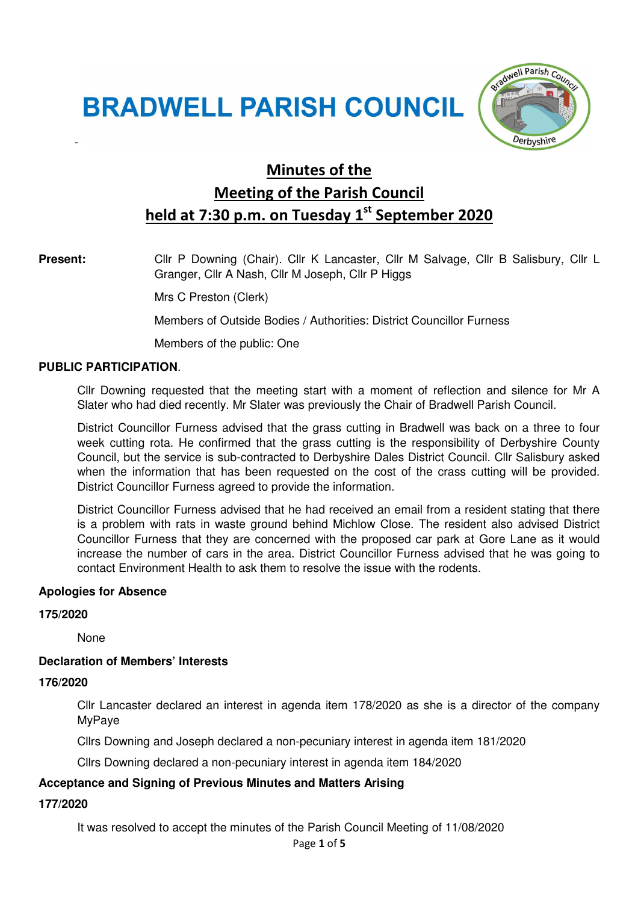# **BRADWELL PARISH COUNCIL**



# Minutes of the Meeting of the Parish Council held at 7:30 p.m. on Tuesday  $1<sup>st</sup>$  September 2020

-

**Present:** Cllr P Downing (Chair). Cllr K Lancaster, Cllr M Salvage, Cllr B Salisbury, Cllr L Granger, Cllr A Nash, Cllr M Joseph, Cllr P Higgs

Mrs C Preston (Clerk)

Members of Outside Bodies / Authorities: District Councillor Furness

Members of the public: One

#### **PUBLIC PARTICIPATION**.

Cllr Downing requested that the meeting start with a moment of reflection and silence for Mr A Slater who had died recently. Mr Slater was previously the Chair of Bradwell Parish Council.

District Councillor Furness advised that the grass cutting in Bradwell was back on a three to four week cutting rota. He confirmed that the grass cutting is the responsibility of Derbyshire County Council, but the service is sub-contracted to Derbyshire Dales District Council. Cllr Salisbury asked when the information that has been requested on the cost of the crass cutting will be provided. District Councillor Furness agreed to provide the information.

District Councillor Furness advised that he had received an email from a resident stating that there is a problem with rats in waste ground behind Michlow Close. The resident also advised District Councillor Furness that they are concerned with the proposed car park at Gore Lane as it would increase the number of cars in the area. District Councillor Furness advised that he was going to contact Environment Health to ask them to resolve the issue with the rodents.

#### **Apologies for Absence**

#### **175/2020**

None

#### **Declaration of Members' Interests**

#### **176/2020**

Cllr Lancaster declared an interest in agenda item 178/2020 as she is a director of the company MyPaye

Cllrs Downing and Joseph declared a non-pecuniary interest in agenda item 181/2020

Cllrs Downing declared a non-pecuniary interest in agenda item 184/2020

#### **Acceptance and Signing of Previous Minutes and Matters Arising**

#### **177/2020**

It was resolved to accept the minutes of the Parish Council Meeting of 11/08/2020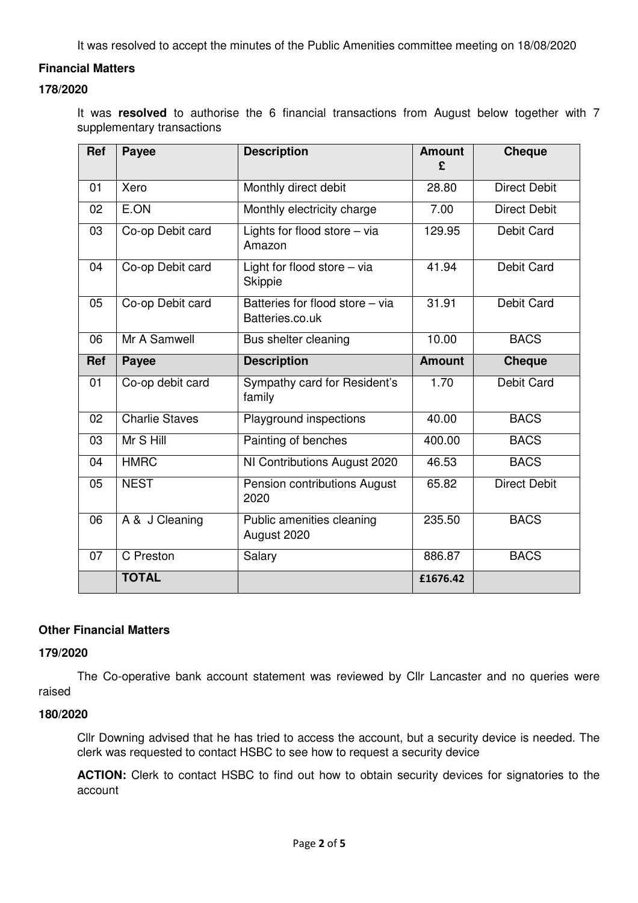It was resolved to accept the minutes of the Public Amenities committee meeting on 18/08/2020

### **Financial Matters**

# **178/2020**

It was **resolved** to authorise the 6 financial transactions from August below together with 7 supplementary transactions

| <b>Ref</b> | Payee                 | <b>Description</b>                                 | <b>Amount</b><br>£ | <b>Cheque</b>       |
|------------|-----------------------|----------------------------------------------------|--------------------|---------------------|
| 01         | Xero                  | Monthly direct debit                               | 28.80              | <b>Direct Debit</b> |
| 02         | E.ON                  | Monthly electricity charge                         | 7.00               | <b>Direct Debit</b> |
| 03         | Co-op Debit card      | Lights for flood store - via<br>Amazon             | 129.95             | Debit Card          |
| 04         | Co-op Debit card      | Light for flood store - via<br><b>Skippie</b>      | 41.94              | <b>Debit Card</b>   |
| 05         | Co-op Debit card      | Batteries for flood store - via<br>Batteries.co.uk | 31.91              | Debit Card          |
| 06         | Mr A Samwell          | Bus shelter cleaning                               | 10.00              | <b>BACS</b>         |
| Ref        | <b>Payee</b>          | <b>Description</b>                                 | <b>Amount</b>      | <b>Cheque</b>       |
| 01         | Co-op debit card      | Sympathy card for Resident's<br>family             | 1.70               | Debit Card          |
| 02         | <b>Charlie Staves</b> | Playground inspections                             | 40.00              | <b>BACS</b>         |
| 03         | Mr S Hill             | Painting of benches                                | 400.00             | <b>BACS</b>         |
| 04         | <b>HMRC</b>           | NI Contributions August 2020                       | 46.53              | <b>BACS</b>         |
| 05         | <b>NEST</b>           | Pension contributions August<br>2020               | 65.82              | <b>Direct Debit</b> |
| 06         | A & J Cleaning        | Public amenities cleaning<br>August 2020           | 235.50             | <b>BACS</b>         |
| 07         | C Preston             | Salary                                             | 886.87             | <b>BACS</b>         |
|            | <b>TOTAL</b>          |                                                    | £1676.42           |                     |

#### **Other Financial Matters**

#### **179/2020**

The Co-operative bank account statement was reviewed by Cllr Lancaster and no queries were raised

#### **180/2020**

Cllr Downing advised that he has tried to access the account, but a security device is needed. The clerk was requested to contact HSBC to see how to request a security device

**ACTION:** Clerk to contact HSBC to find out how to obtain security devices for signatories to the account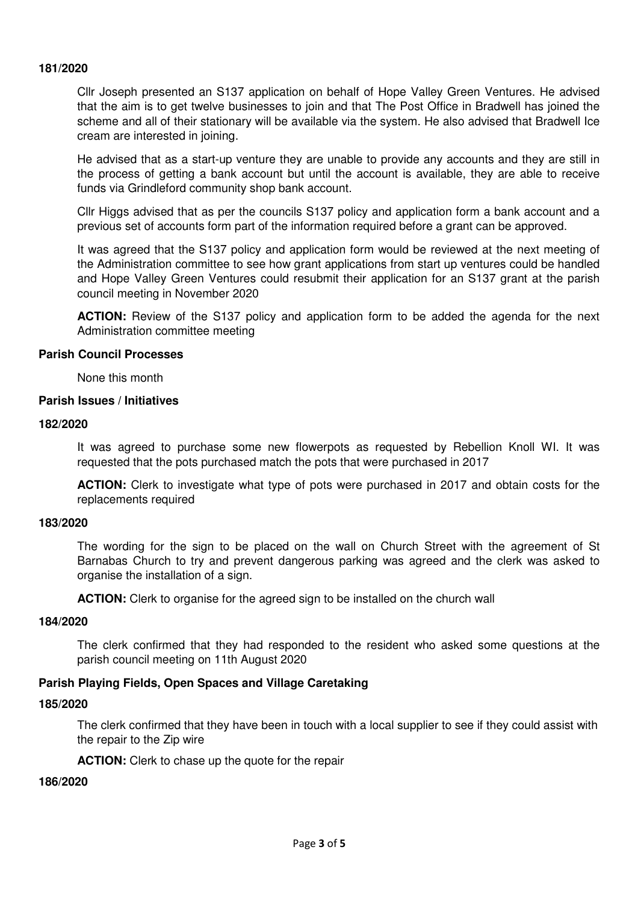#### **181/2020**

Cllr Joseph presented an S137 application on behalf of Hope Valley Green Ventures. He advised that the aim is to get twelve businesses to join and that The Post Office in Bradwell has joined the scheme and all of their stationary will be available via the system. He also advised that Bradwell Ice cream are interested in joining.

He advised that as a start-up venture they are unable to provide any accounts and they are still in the process of getting a bank account but until the account is available, they are able to receive funds via Grindleford community shop bank account.

Cllr Higgs advised that as per the councils S137 policy and application form a bank account and a previous set of accounts form part of the information required before a grant can be approved.

It was agreed that the S137 policy and application form would be reviewed at the next meeting of the Administration committee to see how grant applications from start up ventures could be handled and Hope Valley Green Ventures could resubmit their application for an S137 grant at the parish council meeting in November 2020

**ACTION:** Review of the S137 policy and application form to be added the agenda for the next Administration committee meeting

#### **Parish Council Processes**

None this month

#### **Parish Issues / Initiatives**

#### **182/2020**

It was agreed to purchase some new flowerpots as requested by Rebellion Knoll WI. It was requested that the pots purchased match the pots that were purchased in 2017

**ACTION:** Clerk to investigate what type of pots were purchased in 2017 and obtain costs for the replacements required

#### **183/2020**

The wording for the sign to be placed on the wall on Church Street with the agreement of St Barnabas Church to try and prevent dangerous parking was agreed and the clerk was asked to organise the installation of a sign.

**ACTION:** Clerk to organise for the agreed sign to be installed on the church wall

#### **184/2020**

The clerk confirmed that they had responded to the resident who asked some questions at the parish council meeting on 11th August 2020

#### **Parish Playing Fields, Open Spaces and Village Caretaking**

#### **185/2020**

The clerk confirmed that they have been in touch with a local supplier to see if they could assist with the repair to the Zip wire

**ACTION:** Clerk to chase up the quote for the repair

#### **186/2020**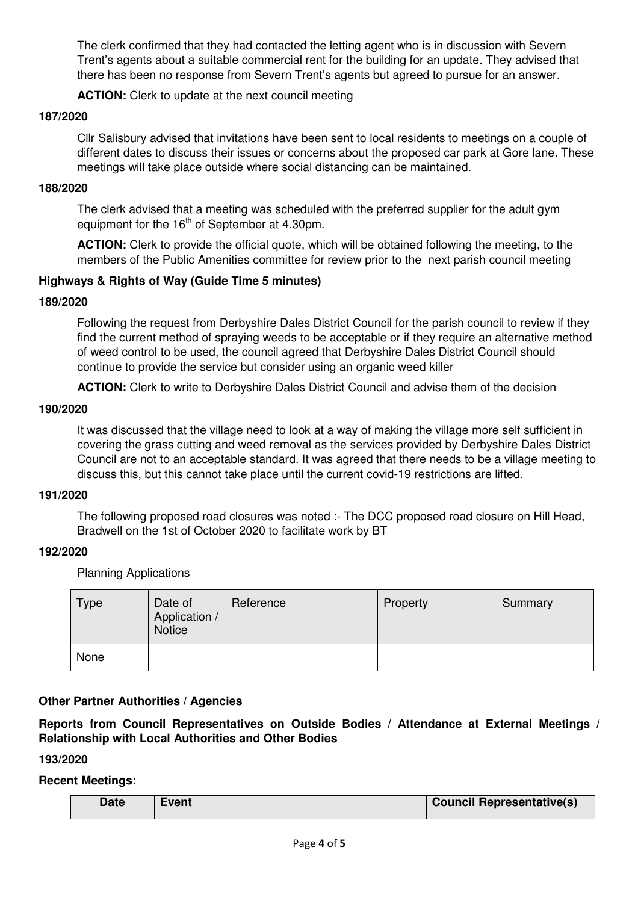The clerk confirmed that they had contacted the letting agent who is in discussion with Severn Trent's agents about a suitable commercial rent for the building for an update. They advised that there has been no response from Severn Trent's agents but agreed to pursue for an answer.

**ACTION:** Clerk to update at the next council meeting

#### **187/2020**

Cllr Salisbury advised that invitations have been sent to local residents to meetings on a couple of different dates to discuss their issues or concerns about the proposed car park at Gore lane. These meetings will take place outside where social distancing can be maintained.

#### **188/2020**

The clerk advised that a meeting was scheduled with the preferred supplier for the adult gym equipment for the  $16<sup>th</sup>$  of September at 4.30pm.

**ACTION:** Clerk to provide the official quote, which will be obtained following the meeting, to the members of the Public Amenities committee for review prior to the next parish council meeting

# **Highways & Rights of Way (Guide Time 5 minutes)**

### **189/2020**

Following the request from Derbyshire Dales District Council for the parish council to review if they find the current method of spraying weeds to be acceptable or if they require an alternative method of weed control to be used, the council agreed that Derbyshire Dales District Council should continue to provide the service but consider using an organic weed killer

**ACTION:** Clerk to write to Derbyshire Dales District Council and advise them of the decision

#### **190/2020**

It was discussed that the village need to look at a way of making the village more self sufficient in covering the grass cutting and weed removal as the services provided by Derbyshire Dales District Council are not to an acceptable standard. It was agreed that there needs to be a village meeting to discuss this, but this cannot take place until the current covid-19 restrictions are lifted.

#### **191/2020**

The following proposed road closures was noted :- The DCC proposed road closure on Hill Head, Bradwell on the 1st of October 2020 to facilitate work by BT

#### **192/2020**

Planning Applications

| <b>Type</b> | Date of<br>Application /<br><b>Notice</b> | Reference | Property | Summary |
|-------------|-------------------------------------------|-----------|----------|---------|
| None        |                                           |           |          |         |

# **Other Partner Authorities / Agencies**

**Reports from Council Representatives on Outside Bodies / Attendance at External Meetings / Relationship with Local Authorities and Other Bodies**

# **193/2020**

# **Recent Meetings:**

| Date | Event | <b>Council Representative(s)</b> |
|------|-------|----------------------------------|
|      |       |                                  |